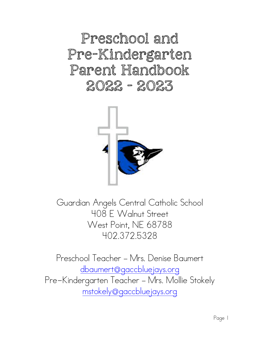Preschool and Pre-Kindergarten Parent Handbook 2022 - 2023



Guardian Angels Central Catholic School 408 E Walnut Street West Point, NE 68788 402.372.5328

Preschool Teacher – Mrs. Denise Baumert [dbaumert@gaccbluejays.org](mailto:dbaumert@gaccbluejays.org) Pre-Kindergarten Teacher – Mrs. Mollie Stokely [mstokely@gaccbluejays.org](mailto:mstokely@gaccbluejays.org)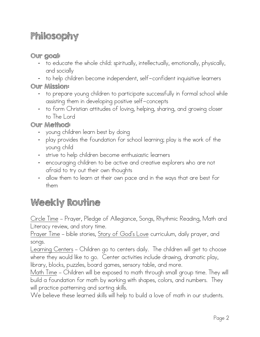# Philosophy

#### Our goal:

- to educate the whole child: spiritually, intellectually, emotionally, physically, and socially
- to help children become independent, self-confident inquisitive learners

Our Mission:

- to prepare young children to participate successfully in formal school while assisting them in developing positive self-concepts
- to form Christian attitudes of loving, helping, sharing, and growing closer to The Lord

#### Our Method:

- young children learn best by doing
- play provides the foundation for school learning; play is the work of the young child
- strive to help children become enthusiastic learners
- encouraging children to be active and creative explorers who are not afraid to try out their own thoughts
- allow them to learn at their own pace and in the ways that are best for them

# Weekly Routine

Circle Time – Prayer, Pledge of Allegiance, Songs, Rhythmic Reading, Math and Literacy review, and story time.

<u>Prayer Time</u> – bible stories, <u>Story of God's Love</u> curriculum, daily prayer, and songs.

Learning Centers – Children go to centers daily. The children will get to choose where they would like to go. Center activities include drawing, dramatic play, library, blocks, puzzles, board games, sensory table, and more.

Math Time – Children will be exposed to math through small group time. They will build a foundation for math by working with shapes, colors, and numbers. They will practice patterning and sorting skills.

We believe these learned skills will help to build a love of math in our students.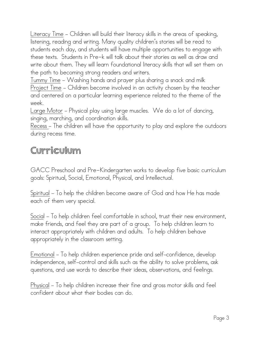Literacy Time – Children will build their literacy skills in the areas of speaking, listening, reading and writing. Many quality children's stories will be read to students each day, and students will have multiple opportunities to engage with these texts. Students in Pre-k will talk about their stories as well as draw and write about them. They will learn foundational literacy skills that will set them on the path to becoming strong readers and writers.

Tummy Time – Washing hands and prayer plus sharing a snack and milk Project Time – Children become involved in an activity chosen by the teacher and centered on a particular learning experience related to the theme of the week.

Large Motor – Physical play using large muscles. We do a lot of dancing, singing, marching, and coordination skills.

Recess – The children will have the opportunity to play and explore the outdoors during recess time.

### Curriculum

GACC Preschool and Pre-Kindergarten works to develop five basic curriculum goals: Spiritual, Social, Emotional, Physical, and Intellectual.

Spiritual – To help the children become aware of God and how He has made each of them very special.

Social – To help children feel comfortable in school, trust their new environment, make friends, and feel they are part of a group. To help children learn to interact appropriately with children and adults. To help children behave appropriately in the classroom setting.

Emotional – To help children experience pride and self–confidence, develop independence, self–control and skills such as the ability to solve problems, ask questions, and use words to describe their ideas, observations, and feelings.

Physical – To help children increase their fine and gross motor skills and feel confident about what their bodies can do.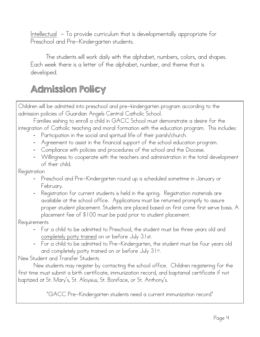<u>Intellectual</u> - To provide curriculum that is developmentally appropriate for Preschool and Pre-Kindergarten students.

 The students will work daily with the alphabet, numbers, colors, and shapes. Each week there is a letter of the alphabet, number, and theme that is developed.

# Admission Policy

Children will be admitted into preschool and pre-kindergarten program according to the admission policies of Guardian Angels Central Catholic School.

 Families wishing to enroll a child in GACC School must demonstrate a desire for the integration of Catholic teaching and moral formation with the education program. This includes:

- Participation in the social and spiritual life of their parish/church.
- Agreement to assist in the financial support of the school education program.
- Compliance with policies and procedures of the school and the Diocese.
- Willingness to cooperate with the teachers and administration in the total development of their child.

Registration

- Preschool and Pre-Kindergarten round up is scheduled sometime in January or February.
- Registration for current students is held in the spring. Registration materials are available at the school office. Applications must be returned promptly to assure proper student placement. Students are placed based on first come first serve basis. A placement fee of \$100 must be paid prior to student placement.

Requirements

- For a child to be admitted to Preschool, the student must be three years old and completely potty trained on or before July 31st.
- For a child to be admitted to Pre-Kindergarten, the student must be four years old and completely potty trained on or before July 31st.

New Student and Transfer Students

 New students may register by contacting the school office. Children registering for the first time must submit a birth certificate, immunization record, and baptismal certificate if not baptized at St. Mary's, St. Aloysius, St. Boniface, or St. Anthony's.

\*GACC Pre-Kindergarten students need a current immunization record\*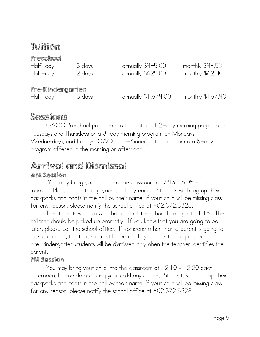### Tuition

#### Preschool

| Half-day         | 3 days | annually \$945.00   | monthly \$94.50   |
|------------------|--------|---------------------|-------------------|
| Half-day         | 2 days | annually \$629.00   | monthly \$62.90   |
|                  |        |                     |                   |
| Pre-Kindergarten |        |                     |                   |
| Half-day         | 5 days | annually \$1,574.00 | monthly $$157.40$ |

### Sessions

GACC Preschool program has the option of 2-day morning program on Tuesdays and Thursdays or a 3-day morning program on Mondays, Wednesdays, and Fridays. GACC Pre-Kindergarten program is a 5-day program offered in the morning or afternoon.

#### Arrival and Dismissal AM Session

 You may bring your child into the classroom at 7:45 – 8:05 each morning. Please do not bring your child any earlier. Students will hang up their backpacks and coats in the hall by their name. If your child will be missing class for any reason, please notify the school office at 402.372.5328.

 The students will dismiss in the front of the school building at 11:15. The children should be picked up promptly. If you know that you are going to be later, please call the school office. If someone other than a parent is going to pick up a child, the teacher must be notified by a parent. The preschool and pre-kindergarten students will be dismissed only when the teacher identifies the parent.

#### PM Session

You may bring your child into the classroom at 12:10 – 12:20 each afternoon. Please do not bring your child any earlier. Students will hang up their backpacks and coats in the hall by their name. If your child will be missing class for any reason, please notify the school office at 402.372.5328.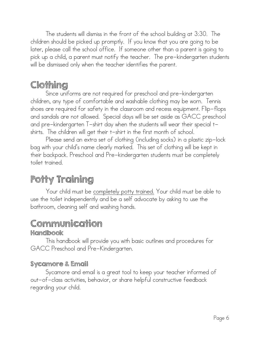The students will dismiss in the front of the school building at 3:30. The children should be picked up promptly. If you know that you are going to be later, please call the school office. If someone other than a parent is going to pick up a child, a parent must notify the teacher. The pre-kindergarten students will be dismissed only when the teacher identifies the parent.

# Clothing

Since uniforms are not required for preschool and pre-kindergarten children, any type of comfortable and washable clothing may be worn. Tennis shoes are required for safety in the classroom and recess equipment. Flip-flops and sandals are not allowed. Special days will be set aside as GACC preschool and pre-kindergarten T-shirt day when the students will wear their special tshirts. The children will get their t-shirt in the first month of school.

 Please send an extra set of clothing (including socks) in a plastic zip-lock bag with your child's name clearly marked. This set of clothing will be kept in their backpack. Preschool and Pre-kindergarten students must be completely toilet trained.

# Potty Training

Your child must be completely potty trained. Your child must be able to use the toilet independently and be a self advocate by asking to use the bathroom, cleaning self and washing hands.

# Communication

#### **Handbook**

This handbook will provide you with basic outlines and procedures for GACC Preschool and Pre-Kindergarten.

#### Sycamore & Email

Sycamore and email is a great tool to keep your teacher informed of out-of-class activities, behavior, or share helpful constructive feedback regarding your child.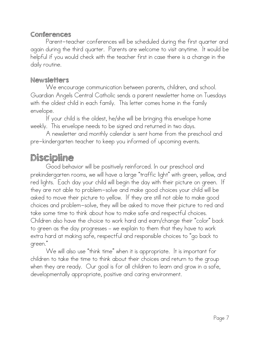#### Conferences

Parent-teacher conferences will be scheduled during the first quarter and again during the third quarter. Parents are welcome to visit anytime. It would be helpful if you would check with the teacher first in case there is a change in the daily routine.

#### Newsletters

We encourage communication between parents, children, and school. Guardian Angels Central Catholic sends a parent newsletter home on Tuesdays with the oldest child in each family. This letter comes home in the family envelope.

If your child is the oldest, he/she will be bringing this envelope home weekly. This envelope needs to be signed and returned in two days.

A newsletter and monthly calendar is sent home from the preschool and pre-kindergarten teacher to keep you informed of upcoming events.

### Discipline

Good behavior will be positively reinforced. In our preschool and prekindergarten rooms, we will have a large "traffic light" with green, yellow, and red lights. Each day your child will begin the day with their picture on green. If they are not able to problem-solve and make good choices your child will be asked to move their picture to yellow. If they are still not able to make good choices and problem-solve, they will be asked to move their picture to red and take some time to think about how to make safe and respectful choices. Children also have the choice to work hard and earn/change their "color" back to green as the day progresses – we explain to them that they have to work extra hard at making safe, respectful and responsible choices to "go back to green."

 We will also use "think time" when it is appropriate. It is important for children to take the time to think about their choices and return to the group when they are ready. Our goal is for all children to learn and grow in a safe, developmentally appropriate, positive and caring environment.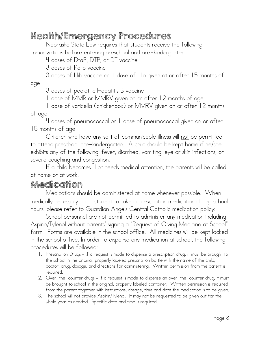### Health/Emergency Procedures

Nebraska State Law requires that students receive the following immunizations before entering preschool and pre-kindergarten:

4 doses of DtaP, DTP, or DT vaccine

3 doses of Polio vaccine

3 doses of Hib vaccine or 1 dose of Hib given at or after 15 months of age

3 doses of pediatric Hepatitis B vaccine

1 dose of MMR or MMRV given on or after 12 months of age

1 dose of varicella (chickenpox) or MMRV given on or after 12 months of age

4 doses of pneumococcal or 1 dose of pneumococcal given on or after 15 months of age

 Children who have any sort of communicable illness will not be permitted to attend preschool pre-kindergarten. A child should be kept home if he/she exhibits any of the following: fever, diarrhea, vomiting, eye or skin infections, or severe coughing and congestion.

 If a child becomes ill or needs medical attention, the parents will be called at home or at work.

#### Medication

Medications should be administered at home whenever possible. When medically necessary for a student to take a prescription medication during school hours, please refer to Guardian Angels Central Catholic medication policy:

 School personnel are not permitted to administer any medication including Aspirin/Tylenol without parents' signing a "Request of Giving Medicine at School" form. Forms are available in the school office. All medicines will be kept locked in the school office. In order to dispense any medication at school, the following procedures will be followed:

- 1. Prescription Drugs If a request is made to dispense a prescription drug, it must be brought to the school in the original, properly labeled prescription bottle with the name of the child, doctor, drug, dosage, and directions for administering. Written permission from the parent is required.
- 2. Over-the-counter drugs If a request is made to dispense an over-the-counter drug, it must be brought to school in the original, properly labeled container. Written permission is required from the parent together with instructions, dosage, time and date the medication is to be given.
- 3. The school will not provide Aspirin/Tylenol. It may not be requested to be given out for the whole year as needed. Specific date and time is required.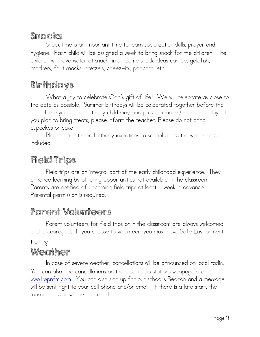### Snacks

Snack time is an important time to learn socialization skills, prayer and hygiene. Each child will be assigned a week to bring snack for the children. The children will have water at snack time. Some snack ideas can be: goldfish, crackers, fruit snacks, pretzels, cheez-its, popcorn, etc.

### Birthdays

What a joy to celebrate God's gift of life! We will celebrate as close to the date as possible. Summer birthdays will be celebrated together before the end of the year. The birthday child may bring a snack on his/her special day. If you plan to bring treats, please inform the teacher. Please do <u>not bring</u> cupcakes or cake.

 Please do not send birthday invitations to school unless the whole class is included.

# Field Trips

Field trips are an integral part of the early childhood experience. They enhance learning by offering opportunities not available in the classroom. Parents are notified of upcoming field trips at least 1 week in advance. Parental permission is required.

### Parent Volunteers

Parent volunteers for field trips or in the classroom are always welcomed and encouraged. If you choose to volunteer, you must have Safe Environment training.

### Weather

In case of severe weather, cancellations will be announced on local radio. You can also find cancellations on the local radio stations webpage site [www.kwpnfm.com](http://www.kwpnfm.com). You can also sign up for our school's Beacon and a message will be sent right to your cell phone and/or email. If there is a late start, the morning session will be cancelled.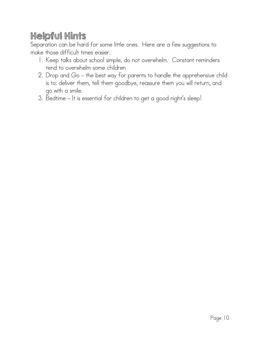# Helpful Hints

Separation can be hard for some little ones. Here are a few suggestions to make those difficult times easier.

- 1. Keep talks about school simple, do not overwhelm. Constant reminders tend to overwhelm some children
- 2. Drop and Go the best way for parents to handle the apprehensive child is to: deliver them, tell them goodbye, reassure them you will return, and go with a smile.
- 3. Bedtime It is essential for children to get a good night's sleep!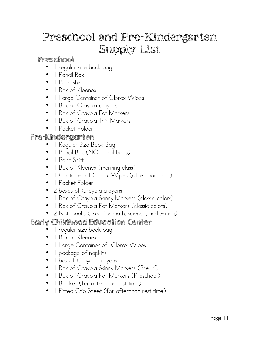# Preschool and Pre-Kindergarten Supply List

#### Preschool

- 1 regular size book bag
- 1 Pencil Box
- 1 Paint shirt
- 1 Box of Kleenex
- 1 Large Container of Clorox Wipes
- 1 Box of Crayola crayons
- 1 Box of Crayola Fat Markers
- 1 Box of Crayola Thin Markers
- 1 Pocket Folder

#### Pre-Kindergarten

- 1 Regular Size Book Bag
- 1 Pencil Box (NO pencil bags)
- 1 Paint Shirt
- 1 Box of Kleenex (morning class)
- 1 Container of Clorox Wipes (afternoon class)
- | Pocket Folder
- 2 boxes of Crayola crayons
- 1 Box of Crayola Skinny Markers (classic colors)
- 1 Box of Crayola Fat Markers (classic colors)
- 2 Notebooks (used for math, science, and writing)

#### Early Childhood Education Center

- 1 regular size book bag
- 1 Box of Kleenex
- 1 Large Container of Clorox Wipes
- 1 package of napkins
- 1 box of Crayola crayons
- 1 Box of Crayola Skinny Markers (Pre-K)
- 1 Box of Crayola Fat Markers (Preschool)
- 1 Blanket (for afternoon rest time)
- 1 Fitted Crib Sheet (for afternoon rest time)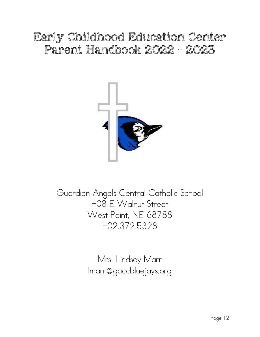# Early Childhood Education Center Parent Handbook 2022 - 2023



Guardian Angels Central Catholic School 408 E Walnut Street West Point, NE 68788 402.372.5328

> Mrs. Lindsey Marr [lmarr@gaccbluejays.org](mailto:lmarr@gaccbluejays.org)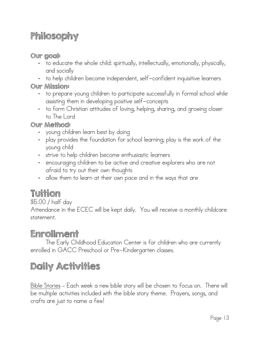# Philosophy

#### Our goal:

- to educate the whole child: spiritually, intellectually, emotionally, physically, and socially
- to help children become independent, self-confident inquisitive learners

Our Mission:

- to prepare young children to participate successfully in formal school while assisting them in developing positive self-concepts
- to form Christian attitudes of loving, helping, sharing, and growing closer to The Lord

#### Our Method:

- young children learn best by doing
- play provides the foundation for school learning; play is the work of the young child
- strive to help children become enthusiastic learners
- encouraging children to be active and creative explorers who are not afraid to try out their own thoughts
- allow them to learn at their own pace and in the ways that are

# Tuition

\$5.00 / half day

Attendance in the ECEC will be kept daily. You will receive a monthly childcare statement.

### Enrollment

The Early Childhood Education Center is for children who are currently enrolled in GACC Preschool or Pre-Kindergarten classes.

# Daily Activities

Bible Stories – Each week a new bible story will be chosen to focus on. There will be multiple activities included with the bible story theme. Prayers, songs, and crafts are just to name a few!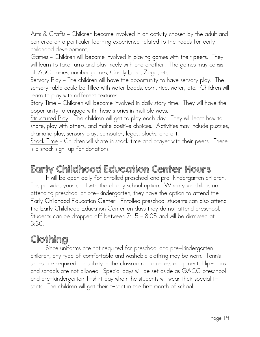Arts & Crafts – Children become involved in an activity chosen by the adult and centered on a particular learning experience related to the needs for early childhood development.

Games – Children will become involved in playing games with their peers. They will learn to take turns and play nicely with one another. The games may consist of ABC games, number games, Candy Land, Zingo, etc.

Sensory Play – The children will have the opportunity to have sensory play. The sensory table could be filled with water beads, corn, rice, water, etc. Children will learn to play with different textures.

Story Time – Children will become involved in daily story time. They will have the opportunity to engage with these stories in multiple ways.

Structured Play – The children will get to play each day. They will learn how to share, play with others, and make positive choices. Activities may include puzzles, dramatic play, sensory play, computer, legos, blocks, and art.

Snack Time – Children will share in snack time and prayer with their peers. There is a snack sign-up for donations.

### Early Childhood Education Center Hours

It will be open daily for enrolled preschool and pre-kindergarten children. This provides your child with the all day school option. When your child is not attending preschool or pre-kindergarten, they have the option to attend the Early Childhood Education Center. Enrolled preschool students can also attend the Early Childhood Education Center on days they do not attend preschool. Students can be dropped off between 7:45 – 8:05 and will be dismissed at 3:30.

### Clothing

Since uniforms are not required for preschool and pre-kindergarten children, any type of comfortable and washable clothing may be worn. Tennis shoes are required for safety in the classroom and recess equipment. Flip-flops and sandals are not allowed. Special days will be set aside as GACC preschool and pre-kindergarten T-shirt day when the students will wear their special tshirts. The children will get their t-shirt in the first month of school.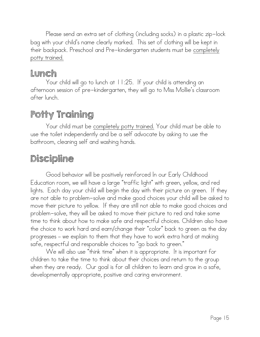Please send an extra set of clothing (including socks) in a plastic zip-lock bag with your child's name clearly marked. This set of clothing will be kept in their backpack. Preschool and Pre-kindergarten students must be completely potty trained.

### Lunch

Your child will go to lunch at 11:25. If your child is attending an afternoon session of pre-kindergarten, they will go to Miss Mollie's classroom after lunch.

# Potty Training

Your child must be completely potty trained. Your child must be able to use the toilet independently and be a self advocate by asking to use the bathroom, cleaning self and washing hands.

# Discipline

Good behavior will be positively reinforced In our Early Childhood Education room, we will have a large "traffic light" with green, yellow, and red lights. Each day your child will begin the day with their picture on green. If they are not able to problem-solve and make good choices your child will be asked to move their picture to yellow. If they are still not able to make good choices and problem-solve, they will be asked to move their picture to red and take some time to think about how to make safe and respectful choices. Children also have the choice to work hard and earn/change their "color" back to green as the day progresses – we explain to them that they have to work extra hard at making safe, respectful and responsible choices to "go back to green."

 We will also use "think time" when it is appropriate. It is important for children to take the time to think about their choices and return to the group when they are ready. Our goal is for all children to learn and grow in a safe, developmentally appropriate, positive and caring environment.